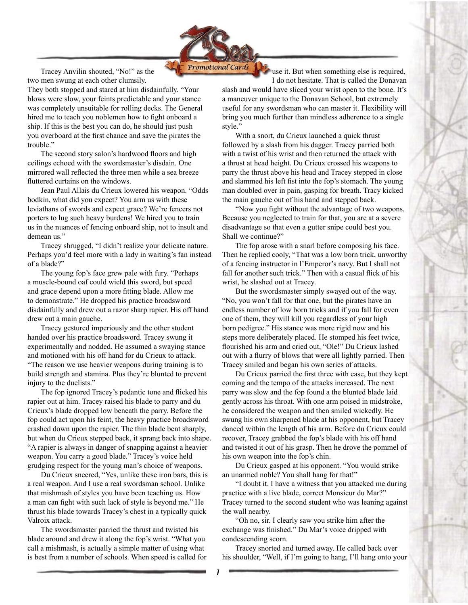

 Tracey Anvilin shouted, "No!" as the two men swung at each other clumsily.

They both stopped and stared at him disdainfully. "Your blows were slow, your feints predictable and your stance was completely unsuitable for rolling decks. The General hired me to teach you noblemen how to fight onboard a ship. If this is the best you can do, he should just push you overboard at the first chance and save the pirates the trouble."

 The second story salon's hardwood floors and high ceilings echoed with the swordsmaster's disdain. One mirrored wall reflected the three men while a sea breeze fluttered curtains on the windows.

 Jean Paul Allais du Crieux lowered his weapon. "Odds bodkin, what did you expect? You arm us with these leviathans of swords and expect grace? We're fencers not porters to lug such heavy burdens! We hired you to train us in the nuances of fencing onboard ship, not to insult and demean us."

 Tracey shrugged, "I didn't realize your delicate nature. Perhaps you'd feel more with a lady in waiting's fan instead of a blade?"

 The young fop's face grew pale with fury. "Perhaps a muscle-bound oaf could wield this sword, but speed and grace depend upon a more fitting blade. Allow me to demonstrate." He dropped his practice broadsword disdainfully and drew out a razor sharp rapier. His off hand drew out a main gauche.

 Tracey gestured imperiously and the other student handed over his practice broadsword. Tracey swung it experimentally and nodded. He assumed a swaying stance and motioned with his off hand for du Crieux to attack. "The reason we use heavier weapons during training is to build strength and stamina. Plus they're blunted to prevent injury to the duelists."

 The fop ignored Tracey's pedantic tone and flicked his rapier out at him. Tracey raised his blade to parry and du Crieux's blade dropped low beneath the parry. Before the fop could act upon his feint, the heavy practice broadsword crashed down upon the rapier. The thin blade bent sharply, but when du Crieux stepped back, it sprang back into shape. "A rapier is always in danger of snapping against a heavier weapon. You carry a good blade." Tracey's voice held grudging respect for the young man's choice of weapons.

 Du Crieux sneered, "Yes, unlike these iron bars, this is a real weapon. And I use a real swordsman school. Unlike that mishmash of styles you have been teaching us. How a man can fight with such lack of style is beyond me." He thrust his blade towards Tracey's chest in a typically quick Valroix attack.

 The swordsmaster parried the thrust and twisted his blade around and drew it along the fop's wrist. "What you call a mishmash, is actually a simple matter of using what is best from a number of schools. When speed is called for

use it. But when something else is required, I do not hesitate. That is called the Donavan

slash and would have sliced your wrist open to the bone. It's a maneuver unique to the Donavan School, but extremely useful for any swordsman who can master it. Flexibility will bring you much further than mindless adherence to a single style."

 With a snort, du Crieux launched a quick thrust followed by a slash from his dagger. Tracey parried both with a twist of his wrist and then returned the attack with a thrust at head height. Du Crieux crossed his weapons to parry the thrust above his head and Tracey stepped in close and slammed his left fist into the fop's stomach. The young man doubled over in pain, gasping for breath. Tracy kicked the main gauche out of his hand and stepped back.

 "Now you fight without the advantage of two weapons. Because you neglected to train for that, you are at a severe disadvantage so that even a gutter snipe could best you. Shall we continue?"

 The fop arose with a snarl before composing his face. Then he replied cooly, "That was a low born trick, unworthy of a fencing instructor in l'Emperor's navy. But I shall not fall for another such trick." Then with a casual flick of his wrist, he slashed out at Tracey.

 But the swordsmaster simply swayed out of the way. "No, you won't fall for that one, but the pirates have an endless number of low born tricks and if you fall for even one of them, they will kill you regardless of your high born pedigree." His stance was more rigid now and his steps more deliberately placed. He stomped his feet twice, flourished his arm and cried out, "Ole!" Du Crieux lashed out with a flurry of blows that were all lightly parried. Then Tracey smiled and began his own series of attacks.

 Du Crieux parried the first three with ease, but they kept coming and the tempo of the attacks increased. The next parry was slow and the fop found a the blunted blade laid gently across his throat. With one arm poised in midstroke, he considered the weapon and then smiled wickedly. He swung his own sharpened blade at his opponent, but Tracey danced within the length of his arm. Before du Crieux could recover, Tracey grabbed the fop's blade with his off hand and twisted it out of his grasp. Then he drove the pommel of his own weapon into the fop's chin.

 Du Crieux gasped at his opponent. "You would strike an unarmed noble? You shall hang for that!"

 "I doubt it. I have a witness that you attacked me during practice with a live blade, correct Monsieur du Mar?" Tracey turned to the second student who was leaning against the wall nearby.

 "Oh no, sir. I clearly saw you strike him after the exchange was finished." Du Mar's voice dripped with condescending scorn.

 Tracey snorted and turned away. He called back over his shoulder, "Well, if I'm going to hang, I'll hang onto your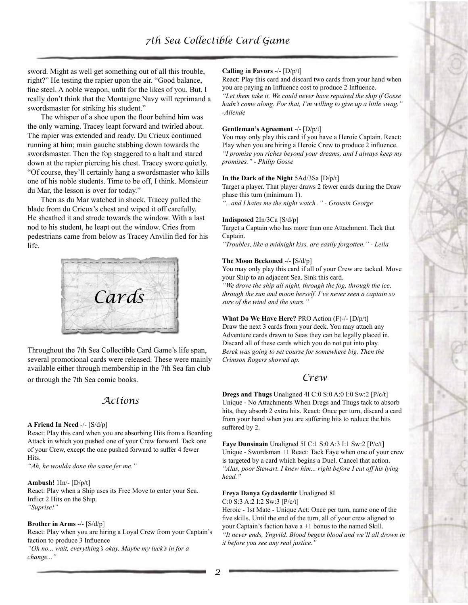sword. Might as well get something out of all this trouble, right?" He testing the rapier upon the air. "Good balance, fine steel. A noble weapon, unfit for the likes of you. But, I really don't think that the Montaigne Navy will reprimand a swordsmaster for striking his student."

 The whisper of a shoe upon the floor behind him was the only warning. Tracey leapt forward and twirled about. The rapier was extended and ready. Du Crieux continued running at him; main gauche stabbing down towards the swordsmaster. Then the fop staggered to a halt and stared down at the rapier piercing his chest. Tracey swore quietly. "Of course, they'll certainly hang a swordsmaster who kills one of his noble students. Time to be off, I think. Monsieur du Mar, the lesson is over for today."

 Then as du Mar watched in shock, Tracey pulled the blade from du Crieux's chest and wiped it off carefully. He sheathed it and strode towards the window. With a last nod to his student, he leapt out the window. Cries from pedestrians came from below as Tracey Anvilin fled for his life.



Throughout the 7th Sea Collectible Card Game's life span, several promotional cards were released. These were mainly available either through membership in the 7th Sea fan club or through the 7th Sea comic books.

# *Actions*

#### **A Friend In Need** -/- [S/d/p]

React: Play this card when you are absorbing Hits from a Boarding Attack in which you pushed one of your Crew forward. Tack one of your Crew, except the one pushed forward to suffer 4 fewer Hits.

*"Ah, he woulda done the same fer me."*

### **Ambush!** 1In/- [D/p/t]

React: Play when a Ship uses its Free Move to enter your Sea. Inflict 2 Hits on the Ship. *"Suprise!"*

#### **Brother in Arms** -/- [S/d/p]

React: Play when you are hiring a Loyal Crew from your Captain's faction to produce 3 Influence

*"Oh no... wait, everything's okay. Maybe my luck's in for a change..."*

#### **Calling in Favors** -/- [D/p/t]

React: Play this card and discard two cards from your hand when you are paying an Influence cost to produce 2 Influence.

*"Let them take it. We could never have repaired the ship if Gosse hadn't come along. For that, I'm willing to give up a little swag." -Allende*

#### **Gentleman's Agreement** -/- [D/p/t]

You may only play this card if you have a Heroic Captain. React: Play when you are hiring a Heroic Crew to produce 2 influence. *"I promise you riches beyond your dreams, and I always keep my promises." - Philip Gosse*

## **In the Dark of the Night** 5Ad/3Sa [D/p/t]

Target a player. That player draws 2 fewer cards during the Draw phase this turn (minimum 1).

*"...and I hates me the night watch.." - Grousin George*

### **Indisposed** 2In/3Ca [S/d/p]

Target a Captain who has more than one Attachment. Tack that Captain.

*"Troubles, like a midnight kiss, are easily forgotten." - Leila*

### **The Moon Beckoned** -/- [S/d/p]

You may only play this card if all of your Crew are tacked. Move your Ship to an adjacent Sea. Sink this card.

*"We drove the ship all night, through the fog, through the ice, through the sun and moon herself. I've never seen a captain so sure of the wind and the stars."*

**What Do We Have Here?** PRO Action (F)-/- [D/p/t] Draw the next 3 cards from your deck. You may attach any Adventure cards drawn to Seas they can be legally placed in. Discard all of these cards which you do not put into play. *Berek was going to set course for somewhere big. Then the Crimson Rogers showed up.*

## *Crew*

**Dregs and Thugs** Unaligned 4I C:0 S:0 A:0 I:0 Sw:2 [P/c/t] Unique - No Attachments When Dregs and Thugs tack to absorb hits, they absorb 2 extra hits. React: Once per turn, discard a card from your hand when you are suffering hits to reduce the hits suffered by 2.

**Faye Dunsinain** Unaligned 5I C:1 S:0 A:3 I:1 Sw:2 [P/c/t] Unique - Swordsman +1 React: Tack Faye when one of your crew is targeted by a card which begins a Duel. Cancel that action. *"Alas, poor Stewart. I knew him... right before I cut off his lying head."*

#### **Freya Danya Gydasdottir** Unaligned 8I

C:0 S:3 A:2 I:2 Sw:3 [P/c/t]

Heroic - 1st Mate - Unique Act: Once per turn, name one of the five skills. Until the end of the turn, all of your crew aligned to your Captain's faction have a +1 bonus to the named Skill. *"It never ends, Yngvild. Blood begets blood and we'll all drown in it before you see any real justice."*